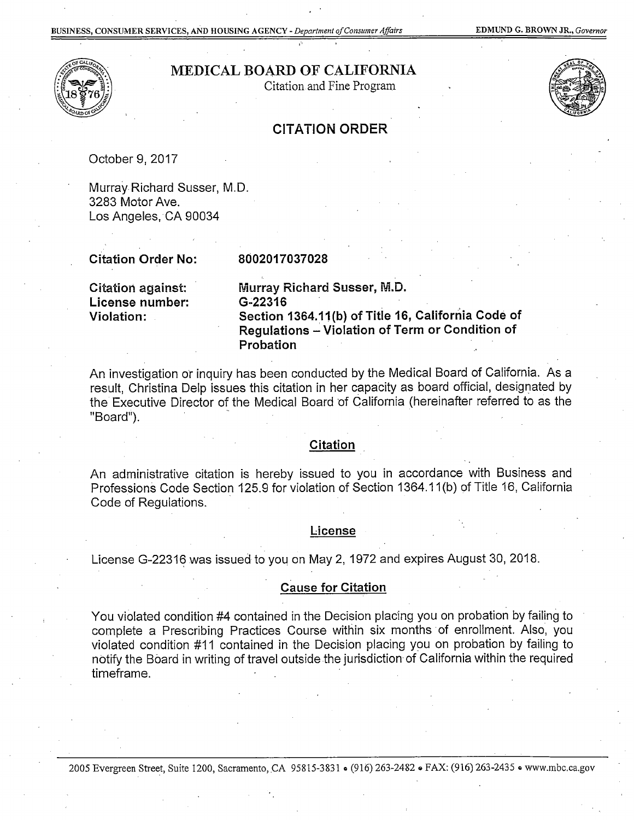

## MEDICAL BOARD OF CALIFORNIA

Citation and Fine Program



### CITATION ORDER

October 9, 2017

Murray Richard Susser, M.D. 3283 Motor Ave. Los Angeles, CA 90034

Citation Order No:

#### 8002017037028

Citation against: License number:

Murray Richard Susser, M.D. G-22316 Violation: Section 1364.11 (b) of Title 16, California Code of Regulations ~Violation of Term or Condition of Probation

An investigation or inquiry has been conducted by the Medical Board of California. As a result, Christina Delp issues this citation in her capacity as board official, designated by the Executive Director of the Medical Board of California (hereinafter referred to as the "Board").

#### Citation

An administrative citation is hereby issued to you in accordance with Business and Professions Code Section 125.9 for violation of Section 1364.11 (b) of Title 16, California Code of Regulations.

#### License

License G-22316 was issued to you on May 2, 1972 and expires August 30, 2018.

#### Cause for Citation

You violated condition #4 contained in the Decision placing you on probation by failing to complete a Prescribing Practices Course within six months of enrollment. Also, you violated condition #11 contained in the Decision placing you on probation by failing to notify the Board in writing of travel outside the jurisdiction- of California within the required timeframe.

2005 Evergreen Street, Suite 1200, Sacramento, CA 95815-3831 . (916) 263-2482 . FAX: (916) 263-2435 . www.mbc.ca.gov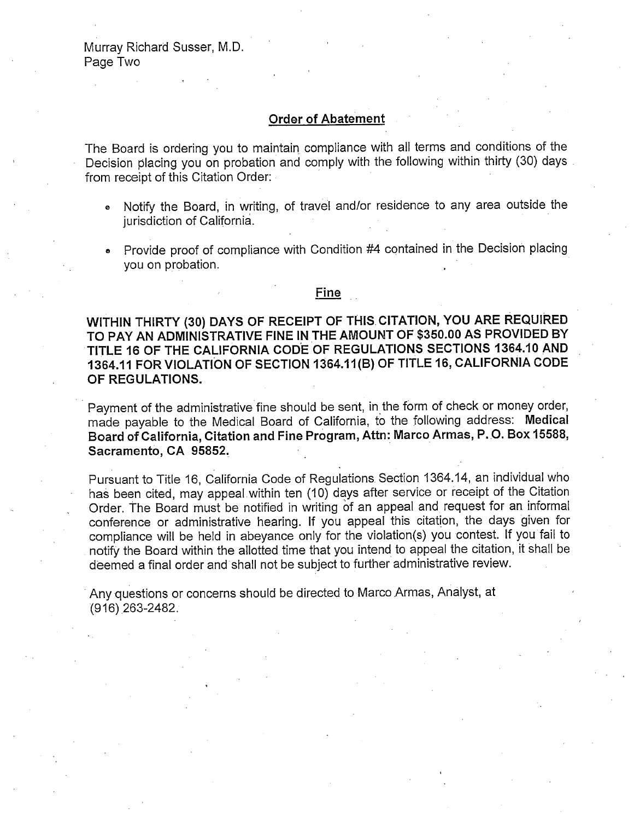### **Order of Abatement**

The Board is ordering you to maintain compliance with all terms and conditions of the Decision placing you on probation and comply with the following within thirty (30) days from receipt of this Citation Order: ·

- <sup>e</sup>Notify the Board, in writing, of travel and/or residence to any area outside the jurisdiction of California.
- Provide proof of compliance with Condition  $#4$  contained in the Decision placing you on probation.

#### <u>Fine</u>

**WITHIN THIRTY (30) DAYS OF RECEIPT OF THIS. CITATION, YOU ARE REQUIRED TO PAY AN ADMINISTRATIVE FINE IN THE AMOUNT OF \$350.00 AS PROVIDED BY TITLE 16 OF THE CALIFORNIA COD.E OF REGULATIONS SECTIONS 1364.10 AND 1364.11 FOR VIOLATION OF SECTION 1364.11(B) OF TITLE 16, CALIFORNIA CODE OF REGULATIONS.** 

Payment of the administrative fine should be sent, in the form of check or money order, made payable to the Medical Board of California, to the following address: **Medical Board of California, Citation and Fine Program, Attn: Marco Armas, P. 0. Box 15588, Sacramento, CA 95852.** ·

Pursuant to Title 16, California Code of Regulations Section 1364.14, an individual who has been cited, may appeal within ten (10) days after service or receipt of the Citation Order. The Board must be notified in writing of an appeal and request for an informal conference or administrative hearing. If you appeal this citation, the days given for compliance will be held in abeyance only for the violation(s) you contest. If you fail to notify the Board within the allotted time that you intend to appeal the citation, it shall be deemed a final order and shall not be subject to further administrative review.

Any questions or concerns should be directed to Marco Armas, Analyst, at (916) 263-2482.